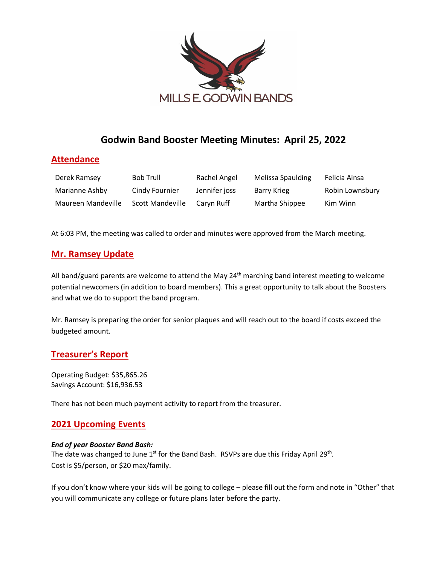

# **Godwin Band Booster Meeting Minutes: April 25, 2022**

### **Attendance**

| Derek Ramsey       | Bob Trull               | Rachel Angel  | Melissa Spaulding | Felicia Ainsa   |
|--------------------|-------------------------|---------------|-------------------|-----------------|
| Marianne Ashby     | Cindy Fournier          | Jennifer joss | Barry Krieg       | Robin Lownsbury |
| Maureen Mandeville | <b>Scott Mandeville</b> | Carvn Ruff    | Martha Shippee    | Kim Winn        |

At 6:03 PM, the meeting was called to order and minutes were approved from the March meeting.

### **Mr. Ramsey Update**

All band/guard parents are welcome to attend the May 24<sup>th</sup> marching band interest meeting to welcome potential newcomers (in addition to board members). This a great opportunity to talk about the Boosters and what we do to support the band program.

Mr. Ramsey is preparing the order for senior plaques and will reach out to the board if costs exceed the budgeted amount.

### **Treasurer's Report**

Operating Budget: \$35,865.26 Savings Account: \$16,936.53

There has not been much payment activity to report from the treasurer.

## **2021 Upcoming Events**

#### *End of year Booster Band Bash:*

The date was changed to June  $1<sup>st</sup>$  for the Band Bash. RSVPs are due this Friday April 29<sup>th</sup>. Cost is \$5/person, or \$20 max/family.

If you don't know where your kids will be going to college – please fill out the form and note in "Other" that you will communicate any college or future plans later before the party.